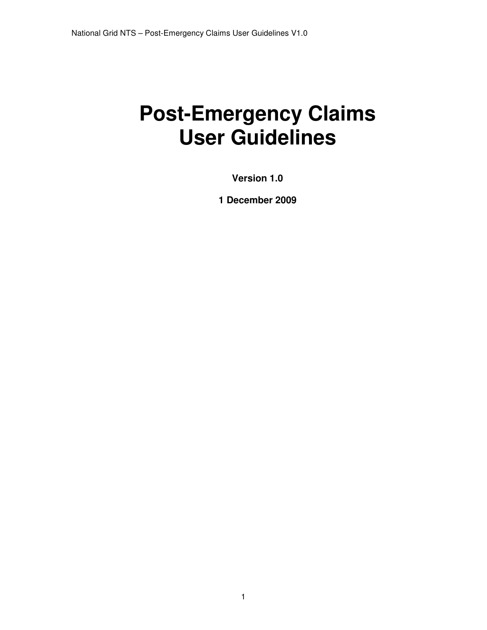# **Post-Emergency Claims User Guidelines**

**Version 1.0** 

**1 December 2009**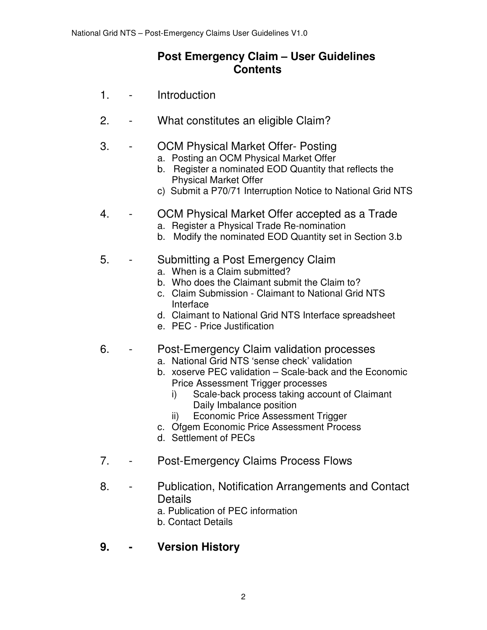## **Post Emergency Claim – User Guidelines Contents**

- 1. Introduction
- 2. What constitutes an eligible Claim?
- 3. OCM Physical Market Offer- Posting
	- a. Posting an OCM Physical Market Offer
	- b. Register a nominated EOD Quantity that reflects the Physical Market Offer
	- c) Submit a P70/71 Interruption Notice to National Grid NTS
- 4. OCM Physical Market Offer accepted as a Trade
	- a. Register a Physical Trade Re-nomination
	- b. Modify the nominated EOD Quantity set in Section 3.b

#### 5. - Submitting a Post Emergency Claim

- a. When is a Claim submitted?
- b. Who does the Claimant submit the Claim to?
- c. Claim Submission Claimant to National Grid NTS Interface
- d. Claimant to National Grid NTS Interface spreadsheet
- e. PEC Price Justification
- 6. Post-Emergency Claim validation processes
	- a. National Grid NTS 'sense check' validation
	- b. xoserve PEC validation Scale-back and the Economic Price Assessment Trigger processes
		- i) Scale-back process taking account of Claimant Daily Imbalance position
		- ii) Economic Price Assessment Trigger
	- c. Ofgem Economic Price Assessment Process
	- d. Settlement of PECs
- 7. Post-Emergency Claims Process Flows
- 8. Publication, Notification Arrangements and Contact **Details** 
	- a. Publication of PEC information
	- b. Contact Details
- **9. Version History**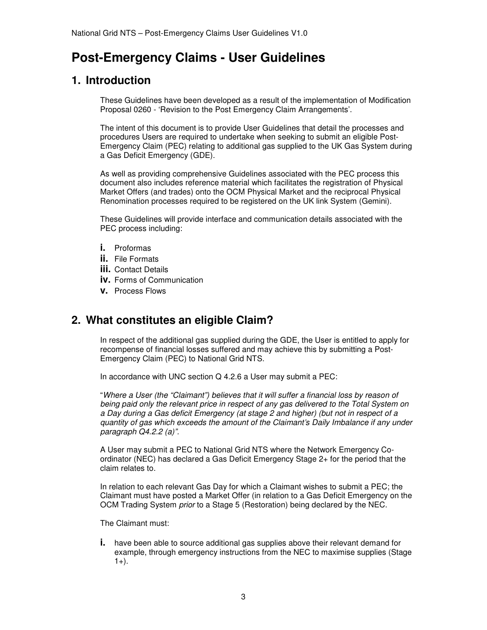## **Post-Emergency Claims - User Guidelines**

## **1. Introduction**

These Guidelines have been developed as a result of the implementation of Modification Proposal 0260 - 'Revision to the Post Emergency Claim Arrangements'.

The intent of this document is to provide User Guidelines that detail the processes and procedures Users are required to undertake when seeking to submit an eligible Post-Emergency Claim (PEC) relating to additional gas supplied to the UK Gas System during a Gas Deficit Emergency (GDE).

As well as providing comprehensive Guidelines associated with the PEC process this document also includes reference material which facilitates the registration of Physical Market Offers (and trades) onto the OCM Physical Market and the reciprocal Physical Renomination processes required to be registered on the UK link System (Gemini).

These Guidelines will provide interface and communication details associated with the PEC process including:

- **i.** Proformas
- **ii.** File Formats
- **iii.** Contact Details
- **iv.** Forms of Communication
- **v.** Process Flows

#### **2. What constitutes an eligible Claim?**

In respect of the additional gas supplied during the GDE, the User is entitled to apply for recompense of financial losses suffered and may achieve this by submitting a Post-Emergency Claim (PEC) to National Grid NTS.

In accordance with UNC section Q 4.2.6 a User may submit a PEC:

"Where a User (the "Claimant") believes that it will suffer a financial loss by reason of being paid only the relevant price in respect of any gas delivered to the Total System on a Day during a Gas deficit Emergency (at stage 2 and higher) (but not in respect of a quantity of gas which exceeds the amount of the Claimant's Daily Imbalance if any under paragraph Q4.2.2 (a)".

A User may submit a PEC to National Grid NTS where the Network Emergency Coordinator (NEC) has declared a Gas Deficit Emergency Stage 2+ for the period that the claim relates to.

In relation to each relevant Gas Day for which a Claimant wishes to submit a PEC; the Claimant must have posted a Market Offer (in relation to a Gas Deficit Emergency on the OCM Trading System prior to a Stage 5 (Restoration) being declared by the NEC.

The Claimant must:

**i.** have been able to source additional gas supplies above their relevant demand for example, through emergency instructions from the NEC to maximise supplies (Stage  $1+$ ).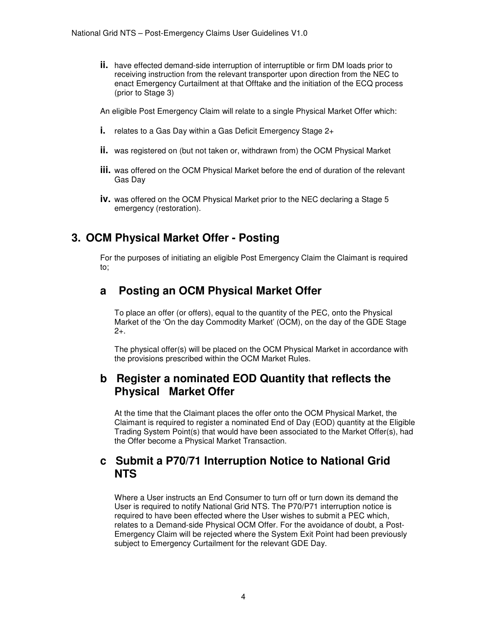**ii.** have effected demand-side interruption of interruptible or firm DM loads prior to receiving instruction from the relevant transporter upon direction from the NEC to enact Emergency Curtailment at that Offtake and the initiation of the ECQ process (prior to Stage 3)

An eligible Post Emergency Claim will relate to a single Physical Market Offer which:

- **i.** relates to a Gas Day within a Gas Deficit Emergency Stage 2+
- **ii.** was registered on (but not taken or, withdrawn from) the OCM Physical Market
- **iii.** was offered on the OCM Physical Market before the end of duration of the relevant Gas Day
- **iv.** was offered on the OCM Physical Market prior to the NEC declaring a Stage 5 emergency (restoration).

## **3. OCM Physical Market Offer - Posting**

For the purposes of initiating an eligible Post Emergency Claim the Claimant is required to;

## **a Posting an OCM Physical Market Offer**

To place an offer (or offers), equal to the quantity of the PEC, onto the Physical Market of the 'On the day Commodity Market' (OCM), on the day of the GDE Stage  $2+$ .

The physical offer(s) will be placed on the OCM Physical Market in accordance with the provisions prescribed within the OCM Market Rules.

#### **b Register a nominated EOD Quantity that reflects the Physical Market Offer**

At the time that the Claimant places the offer onto the OCM Physical Market, the Claimant is required to register a nominated End of Day (EOD) quantity at the Eligible Trading System Point(s) that would have been associated to the Market Offer(s), had the Offer become a Physical Market Transaction.

#### **c Submit a P70/71 Interruption Notice to National Grid NTS**

Where a User instructs an End Consumer to turn off or turn down its demand the User is required to notify National Grid NTS. The P70/P71 interruption notice is required to have been effected where the User wishes to submit a PEC which, relates to a Demand-side Physical OCM Offer. For the avoidance of doubt, a Post-Emergency Claim will be rejected where the System Exit Point had been previously subject to Emergency Curtailment for the relevant GDE Day.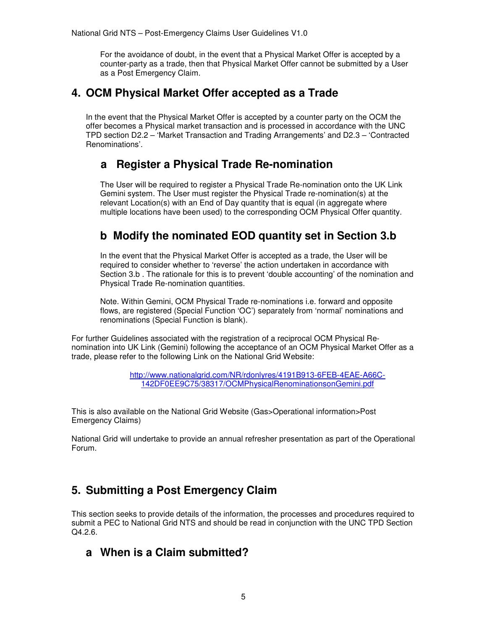For the avoidance of doubt, in the event that a Physical Market Offer is accepted by a counter-party as a trade, then that Physical Market Offer cannot be submitted by a User as a Post Emergency Claim.

#### **4. OCM Physical Market Offer accepted as a Trade**

In the event that the Physical Market Offer is accepted by a counter party on the OCM the offer becomes a Physical market transaction and is processed in accordance with the UNC TPD section D2.2 – 'Market Transaction and Trading Arrangements' and D2.3 – 'Contracted Renominations'.

## **a Register a Physical Trade Re-nomination**

 The User will be required to register a Physical Trade Re-nomination onto the UK Link Gemini system. The User must register the Physical Trade re-nomination(s) at the relevant Location(s) with an End of Day quantity that is equal (in aggregate where multiple locations have been used) to the corresponding OCM Physical Offer quantity.

## **b Modify the nominated EOD quantity set in Section 3.b**

In the event that the Physical Market Offer is accepted as a trade, the User will be required to consider whether to 'reverse' the action undertaken in accordance with Section 3.b . The rationale for this is to prevent 'double accounting' of the nomination and Physical Trade Re-nomination quantities.

Note. Within Gemini, OCM Physical Trade re-nominations i.e. forward and opposite flows, are registered (Special Function 'OC') separately from 'normal' nominations and renominations (Special Function is blank).

For further Guidelines associated with the registration of a reciprocal OCM Physical Renomination into UK Link (Gemini) following the acceptance of an OCM Physical Market Offer as a trade, please refer to the following Link on the National Grid Website:

> http://www.nationalgrid.com/NR/rdonlyres/4191B913-6FEB-4EAE-A66C-142DF0EE9C75/38317/OCMPhysicalRenominationsonGemini.pdf

This is also available on the National Grid Website (Gas>Operational information>Post Emergency Claims)

National Grid will undertake to provide an annual refresher presentation as part of the Operational Forum.

## **5. Submitting a Post Emergency Claim**

This section seeks to provide details of the information, the processes and procedures required to submit a PEC to National Grid NTS and should be read in conjunction with the UNC TPD Section Q4.2.6.

#### **a When is a Claim submitted?**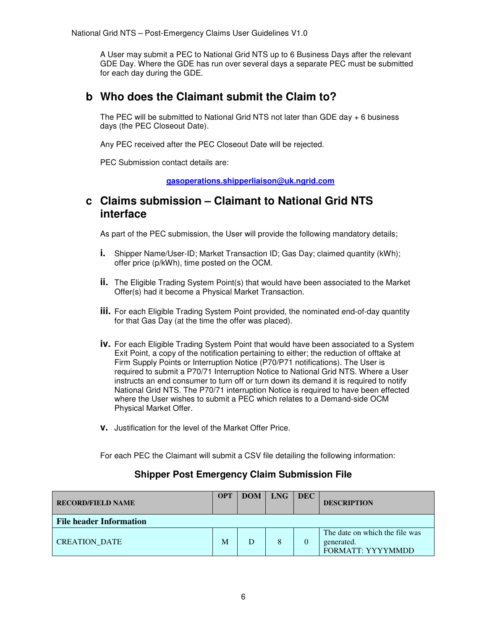A User may submit a PEC to National Grid NTS up to 6 Business Days after the relevant GDE Day. Where the GDE has run over several days a separate PEC must be submitted for each day during the GDE.

#### **b Who does the Claimant submit the Claim to?**

The PEC will be submitted to National Grid NTS not later than GDE day  $+ 6$  business days (the PEC Closeout Date).

Any PEC received after the PEC Closeout Date will be rejected.

PEC Submission contact details are:

**gasoperations.shipperliaison@uk.ngrid.com**

#### **c Claims submission – Claimant to National Grid NTS interface**

As part of the PEC submission, the User will provide the following mandatory details;

- **i.** Shipper Name/User-ID; Market Transaction ID; Gas Day; claimed quantity (kWh); offer price (p/kWh), time posted on the OCM.
- **ii.** The Eligible Trading System Point(s) that would have been associated to the Market Offer(s) had it become a Physical Market Transaction.
- **iii.** For each Eligible Trading System Point provided, the nominated end-of-day quantity for that Gas Day (at the time the offer was placed).
- **iv.** For each Eligible Trading System Point that would have been associated to a System Exit Point, a copy of the notification pertaining to either; the reduction of offtake at Firm Supply Points or Interruption Notice (P70/P71 notifications). The User is required to submit a P70/71 Interruption Notice to National Grid NTS. Where a User instructs an end consumer to turn off or turn down its demand it is required to notify National Grid NTS. The P70/71 interruption Notice is required to have been effected where the User wishes to submit a PEC which relates to a Demand-side OCM Physical Market Offer.
- **v.** Justification for the level of the Market Offer Price.

For each PEC the Claimant will submit a CSV file detailing the following information:

#### **Shipper Post Emergency Claim Submission File**

| <b>RECORD/FIELD NAME</b>       | <b>OPT</b> | <b>DOM</b> | <b>LNG</b> | DEC | <b>DESCRIPTION</b>                                                       |  |
|--------------------------------|------------|------------|------------|-----|--------------------------------------------------------------------------|--|
| <b>File header Information</b> |            |            |            |     |                                                                          |  |
| <b>CREATION DATE</b>           | M          |            |            |     | The date on which the file was<br>generated.<br><b>FORMATT: YYYYMMDD</b> |  |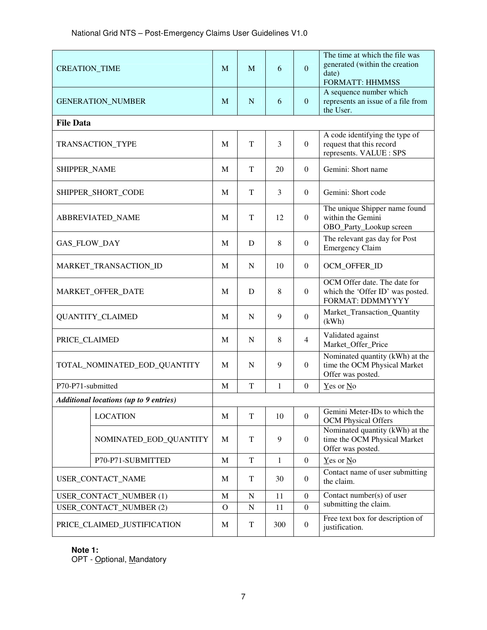| <b>CREATION_TIME</b>                          |                        | M            | M           | 6   | $\overline{0}$   | The time at which the file was<br>generated (within the creation<br>date)<br><b>FORMATT: HHMMSS</b> |
|-----------------------------------------------|------------------------|--------------|-------------|-----|------------------|-----------------------------------------------------------------------------------------------------|
| <b>GENERATION_NUMBER</b>                      |                        | M            | N           | 6   | $\mathbf{0}$     | A sequence number which<br>represents an issue of a file from<br>the User.                          |
| <b>File Data</b>                              |                        |              |             |     |                  |                                                                                                     |
| TRANSACTION_TYPE                              |                        | M            | T           | 3   | $\boldsymbol{0}$ | A code identifying the type of<br>request that this record<br>represents. VALUE : SPS               |
| SHIPPER_NAME                                  |                        | M            | T           | 20  | $\Omega$         | Gemini: Short name                                                                                  |
| SHIPPER_SHORT_CODE                            |                        | M            | T           | 3   | $\Omega$         | Gemini: Short code                                                                                  |
| ABBREVIATED_NAME                              |                        | M            | T           | 12  | $\overline{0}$   | The unique Shipper name found<br>within the Gemini<br>OBO_Party_Lookup screen                       |
| GAS_FLOW_DAY                                  |                        | M            | D           | 8   | $\boldsymbol{0}$ | The relevant gas day for Post<br><b>Emergency Claim</b>                                             |
| MARKET_TRANSACTION_ID                         |                        | M            | N           | 10  | $\overline{0}$   | OCM OFFER ID                                                                                        |
| MARKET_OFFER_DATE                             |                        | M            | D           | 8   | $\boldsymbol{0}$ | OCM Offer date. The date for<br>which the 'Offer ID' was posted.<br>FORMAT: DDMMYYYY                |
| <b>QUANTITY_CLAIMED</b>                       |                        | M            | N           | 9   | $\Omega$         | Market_Transaction_Quantity<br>(kWh)                                                                |
| PRICE_CLAIMED                                 |                        | M            | N           | 8   | $\overline{4}$   | Validated against<br>Market_Offer_Price                                                             |
| TOTAL_NOMINATED_EOD_QUANTITY                  |                        | M            | $\mathbf N$ | 9   | $\boldsymbol{0}$ | Nominated quantity (kWh) at the<br>time the OCM Physical Market<br>Offer was posted.                |
| P70-P71-submitted                             |                        | M            | $\mathbf T$ | 1   | $\Omega$         | $Yes$ or $No$                                                                                       |
| <b>Additional locations (up to 9 entries)</b> |                        |              |             |     |                  |                                                                                                     |
|                                               | <b>LOCATION</b>        | M            | $\mathbf T$ | 10  | $\overline{0}$   | Gemini Meter-IDs to which the<br><b>OCM</b> Physical Offers                                         |
|                                               | NOMINATED_EOD_QUANTITY | M            | $\mathbf T$ | 9   | $\boldsymbol{0}$ | Nominated quantity (kWh) at the<br>time the OCM Physical Market<br>Offer was posted.                |
|                                               | P70-P71-SUBMITTED      | $\mathbf M$  | $\mathbf T$ | 1   | $\boldsymbol{0}$ | $Yes$ or $No$                                                                                       |
| USER_CONTACT_NAME                             |                        | M            | $\mathbf T$ | 30  | $\overline{0}$   | Contact name of user submitting<br>the claim.                                                       |
| <b>USER CONTACT NUMBER (1)</b>                |                        | $\mathbf M$  | ${\bf N}$   | 11  | $\boldsymbol{0}$ | Contact number(s) of user                                                                           |
| <b>USER CONTACT NUMBER (2)</b>                |                        | $\mathbf{O}$ | ${\bf N}$   | 11  | $\boldsymbol{0}$ | submitting the claim.                                                                               |
| PRICE_CLAIMED_JUSTIFICATION                   |                        | M            | $\mathbf T$ | 300 | $\boldsymbol{0}$ | Free text box for description of<br>justification.                                                  |

#### **Note 1:**

OPT - Optional, Mandatory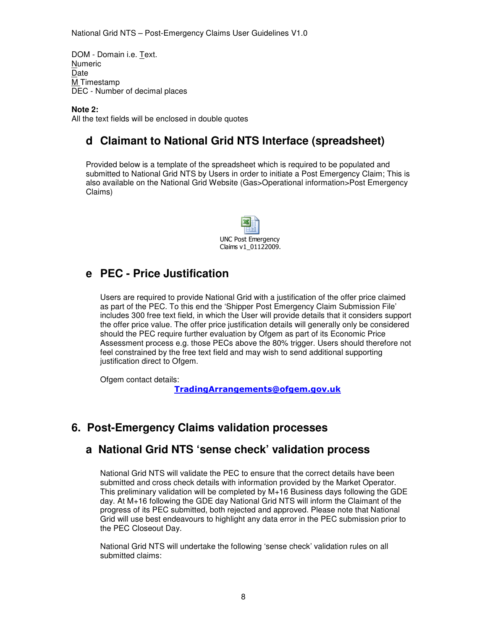DOM - Domain i.e. Text. Numeric Date M Timestamp DEC - Number of decimal places

**Note 2:** 

All the text fields will be enclosed in double quotes

## **d Claimant to National Grid NTS Interface (spreadsheet)**

Provided below is a template of the spreadsheet which is required to be populated and submitted to National Grid NTS by Users in order to initiate a Post Emergency Claim; This is also available on the National Grid Website (Gas>Operational information>Post Emergency Claims)



#### **e PEC - Price Justification**

Users are required to provide National Grid with a justification of the offer price claimed as part of the PEC. To this end the 'Shipper Post Emergency Claim Submission File' includes 300 free text field, in which the User will provide details that it considers support the offer price value. The offer price justification details will generally only be considered should the PEC require further evaluation by Ofgem as part of its Economic Price Assessment process e.g. those PECs above the 80% trigger. Users should therefore not feel constrained by the free text field and may wish to send additional supporting justification direct to Ofgem.

Ofgem contact details:

TradingArrangements@ofgem.gov.uk

#### **6. Post-Emergency Claims validation processes**

#### **a National Grid NTS 'sense check' validation process**

National Grid NTS will validate the PEC to ensure that the correct details have been submitted and cross check details with information provided by the Market Operator. This preliminary validation will be completed by M+16 Business days following the GDE day. At M+16 following the GDE day National Grid NTS will inform the Claimant of the progress of its PEC submitted, both rejected and approved. Please note that National Grid will use best endeavours to highlight any data error in the PEC submission prior to the PEC Closeout Day.

National Grid NTS will undertake the following 'sense check' validation rules on all submitted claims: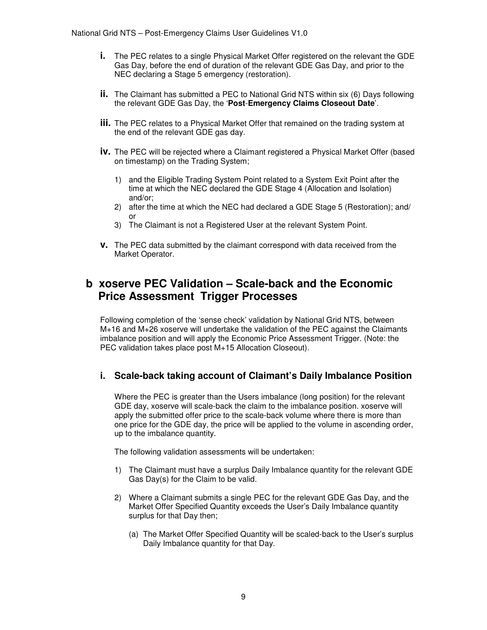- **i.** The PEC relates to a single Physical Market Offer registered on the relevant the GDE Gas Day, before the end of duration of the relevant GDE Gas Day, and prior to the NEC declaring a Stage 5 emergency (restoration).
- **ii.** The Claimant has submitted a PEC to National Grid NTS within six (6) Days following the relevant GDE Gas Day, the '**Post**-**Emergency Claims Closeout Date**'.
- **iii.** The PEC relates to a Physical Market Offer that remained on the trading system at the end of the relevant GDE gas day.
- **iv.** The PEC will be rejected where a Claimant registered a Physical Market Offer (based on timestamp) on the Trading System;
	- 1) and the Eligible Trading System Point related to a System Exit Point after the time at which the NEC declared the GDE Stage 4 (Allocation and Isolation) and/or;
	- 2) after the time at which the NEC had declared a GDE Stage 5 (Restoration); and/ or
	- 3) The Claimant is not a Registered User at the relevant System Point.
- **v.** The PEC data submitted by the claimant correspond with data received from the Market Operator.

#### **b xoserve PEC Validation – Scale-back and the Economic Price Assessment Trigger Processes**

Following completion of the 'sense check' validation by National Grid NTS, between M+16 and M+26 xoserve will undertake the validation of the PEC against the Claimants imbalance position and will apply the Economic Price Assessment Trigger. (Note: the PEC validation takes place post M+15 Allocation Closeout).

#### **i. Scale-back taking account of Claimant's Daily Imbalance Position**

Where the PEC is greater than the Users imbalance (long position) for the relevant GDE day, xoserve will scale-back the claim to the imbalance position. xoserve will apply the submitted offer price to the scale-back volume where there is more than one price for the GDE day, the price will be applied to the volume in ascending order, up to the imbalance quantity.

The following validation assessments will be undertaken:

- 1) The Claimant must have a surplus Daily Imbalance quantity for the relevant GDE Gas Day(s) for the Claim to be valid.
- 2) Where a Claimant submits a single PEC for the relevant GDE Gas Day, and the Market Offer Specified Quantity exceeds the User's Daily Imbalance quantity surplus for that Day then;
	- (a) The Market Offer Specified Quantity will be scaled-back to the User's surplus Daily Imbalance quantity for that Day.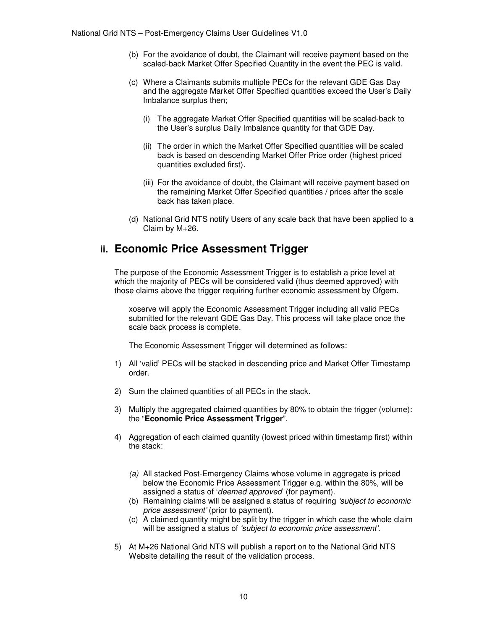- (b) For the avoidance of doubt, the Claimant will receive payment based on the scaled-back Market Offer Specified Quantity in the event the PEC is valid.
- (c) Where a Claimants submits multiple PECs for the relevant GDE Gas Day and the aggregate Market Offer Specified quantities exceed the User's Daily Imbalance surplus then;
	- (i) The aggregate Market Offer Specified quantities will be scaled-back to the User's surplus Daily Imbalance quantity for that GDE Day.
	- (ii) The order in which the Market Offer Specified quantities will be scaled back is based on descending Market Offer Price order (highest priced quantities excluded first).
	- (iii) For the avoidance of doubt, the Claimant will receive payment based on the remaining Market Offer Specified quantities / prices after the scale back has taken place.
- (d) National Grid NTS notify Users of any scale back that have been applied to a Claim by M+26.

#### **ii. Economic Price Assessment Trigger**

The purpose of the Economic Assessment Trigger is to establish a price level at which the majority of PECs will be considered valid (thus deemed approved) with those claims above the trigger requiring further economic assessment by Ofgem.

xoserve will apply the Economic Assessment Trigger including all valid PECs submitted for the relevant GDE Gas Day. This process will take place once the scale back process is complete.

The Economic Assessment Trigger will determined as follows:

- 1) All 'valid' PECs will be stacked in descending price and Market Offer Timestamp order.
- 2) Sum the claimed quantities of all PECs in the stack.
- 3) Multiply the aggregated claimed quantities by 80% to obtain the trigger (volume): the "**Economic Price Assessment Trigger**".
- 4) Aggregation of each claimed quantity (lowest priced within timestamp first) within the stack:
	- (a) All stacked Post-Emergency Claims whose volume in aggregate is priced below the Economic Price Assessment Trigger e.g. within the 80%, will be assigned a status of 'deemed approved' (for payment).
	- (b) Remaining claims will be assigned a status of requiring 'subject to economic price assessment' (prior to payment).
	- (c) A claimed quantity might be split by the trigger in which case the whole claim will be assigned a status of 'subject to economic price assessment'.
- 5) At M+26 National Grid NTS will publish a report on to the National Grid NTS Website detailing the result of the validation process.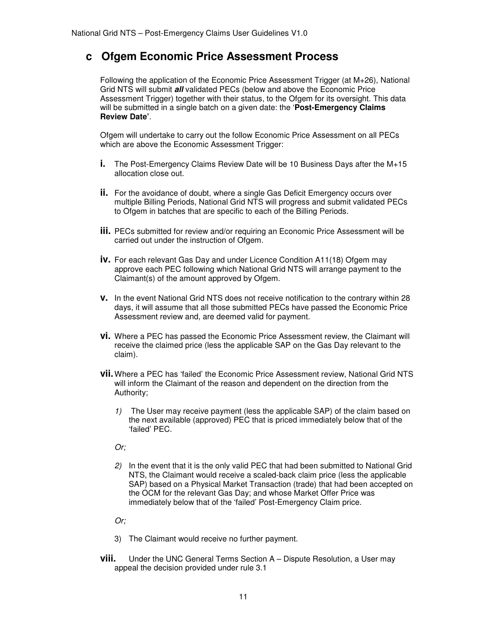#### **c Ofgem Economic Price Assessment Process**

Following the application of the Economic Price Assessment Trigger (at  $M+26$ ), National Grid NTS will submit **all** validated PECs (below and above the Economic Price Assessment Trigger) together with their status, to the Ofgem for its oversight. This data will be submitted in a single batch on a given date: the '**Post-Emergency Claims Review Date'**.

Ofgem will undertake to carry out the follow Economic Price Assessment on all PECs which are above the Economic Assessment Trigger:

- **i.** The Post-Emergency Claims Review Date will be 10 Business Days after the M+15 allocation close out.
- **ii.** For the avoidance of doubt, where a single Gas Deficit Emergency occurs over multiple Billing Periods, National Grid NTS will progress and submit validated PECs to Ofgem in batches that are specific to each of the Billing Periods.
- **iii.** PECs submitted for review and/or requiring an Economic Price Assessment will be carried out under the instruction of Ofgem.
- **iv.** For each relevant Gas Day and under Licence Condition A11(18) Ofgem may approve each PEC following which National Grid NTS will arrange payment to the Claimant(s) of the amount approved by Ofgem.
- **v.** In the event National Grid NTS does not receive notification to the contrary within 28 days, it will assume that all those submitted PECs have passed the Economic Price Assessment review and, are deemed valid for payment.
- **vi.** Where a PEC has passed the Economic Price Assessment review, the Claimant will receive the claimed price (less the applicable SAP on the Gas Day relevant to the claim).
- **vii.** Where a PEC has 'failed' the Economic Price Assessment review, National Grid NTS will inform the Claimant of the reason and dependent on the direction from the Authority;
	- 1) The User may receive payment (less the applicable SAP) of the claim based on the next available (approved) PEC that is priced immediately below that of the 'failed' PEC.
	- Or;
	- 2) In the event that it is the only valid PEC that had been submitted to National Grid NTS, the Claimant would receive a scaled-back claim price (less the applicable SAP) based on a Physical Market Transaction (trade) that had been accepted on the OCM for the relevant Gas Day; and whose Market Offer Price was immediately below that of the 'failed' Post-Emergency Claim price.

Or;

- 3) The Claimant would receive no further payment.
- **viii.** Under the UNC General Terms Section A Dispute Resolution, a User may appeal the decision provided under rule 3.1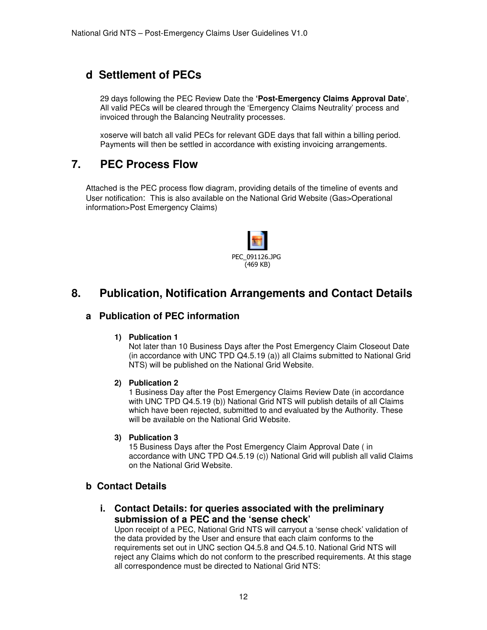## **d Settlement of PECs**

29 days following the PEC Review Date the **'Post-Emergency Claims Approval Date**', All valid PECs will be cleared through the 'Emergency Claims Neutrality' process and invoiced through the Balancing Neutrality processes.

xoserve will batch all valid PECs for relevant GDE days that fall within a billing period. Payments will then be settled in accordance with existing invoicing arrangements.

#### **7. PEC Process Flow**

Attached is the PEC process flow diagram, providing details of the timeline of events and User notification: This is also available on the National Grid Website (Gas>Operational information>Post Emergency Claims)



## **8. Publication, Notification Arrangements and Contact Details**

#### **a Publication of PEC information**

#### **1) Publication 1**

Not later than 10 Business Days after the Post Emergency Claim Closeout Date (in accordance with UNC TPD Q4.5.19 (a)) all Claims submitted to National Grid NTS) will be published on the National Grid Website.

#### **2) Publication 2**

1 Business Day after the Post Emergency Claims Review Date (in accordance with UNC TPD Q4.5.19 (b)) National Grid NTS will publish details of all Claims which have been rejected, submitted to and evaluated by the Authority. These will be available on the National Grid Website.

#### **3) Publication 3**

15 Business Days after the Post Emergency Claim Approval Date ( in accordance with UNC TPD Q4.5.19 (c)) National Grid will publish all valid Claims on the National Grid Website.

#### **b Contact Details**

**i. Contact Details: for queries associated with the preliminary submission of a PEC and the 'sense check'** 

Upon receipt of a PEC, National Grid NTS will carryout a 'sense check' validation of the data provided by the User and ensure that each claim conforms to the requirements set out in UNC section Q4.5.8 and Q4.5.10. National Grid NTS will reject any Claims which do not conform to the prescribed requirements. At this stage all correspondence must be directed to National Grid NTS: